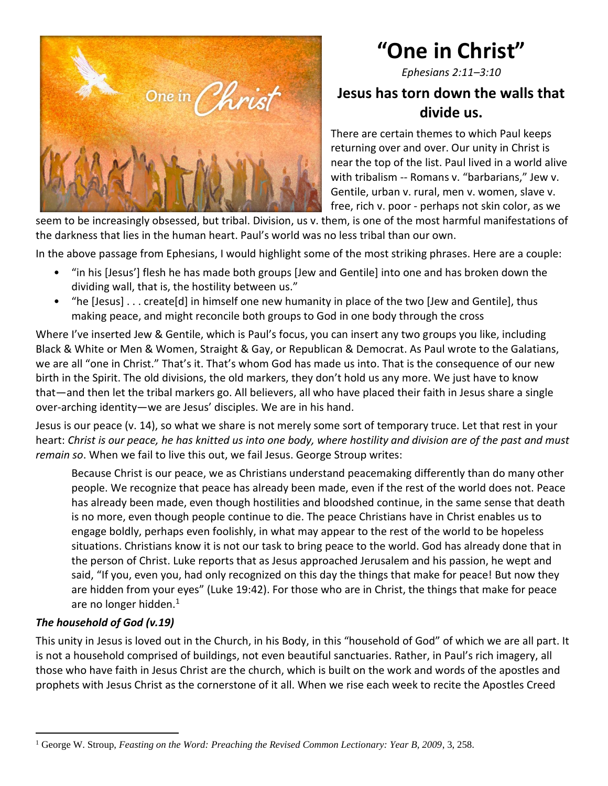

# **"One in Christ"**

*Ephesians 2:11–3:10*

# **Jesus has torn down the walls that divide us.**

There are certain themes to which Paul keeps returning over and over. Our unity in Christ is near the top of the list. Paul lived in a world alive with tribalism -- Romans v. "barbarians," Jew v. Gentile, urban v. rural, men v. women, slave v. free, rich v. poor - perhaps not skin color, as we

seem to be increasingly obsessed, but tribal. Division, us v. them, is one of the most harmful manifestations of the darkness that lies in the human heart. Paul's world was no less tribal than our own.

In the above passage from Ephesians, I would highlight some of the most striking phrases. Here are a couple:

- "in his [Jesus'] flesh he has made both groups [Jew and Gentile] into one and has broken down the dividing wall, that is, the hostility between us."
- "he [Jesus] . . . create[d] in himself one new humanity in place of the two [Jew and Gentile], thus making peace, and might reconcile both groups to God in one body through the cross

Where I've inserted Jew & Gentile, which is Paul's focus, you can insert any two groups you like, including Black & White or Men & Women, Straight & Gay, or Republican & Democrat. As Paul wrote to the Galatians, we are all "one in Christ." That's it. That's whom God has made us into. That is the consequence of our new birth in the Spirit. The old divisions, the old markers, they don't hold us any more. We just have to know that—and then let the tribal markers go. All believers, all who have placed their faith in Jesus share a single over-arching identity—we are Jesus' disciples. We are in his hand.

Jesus is our peace (v. 14), so what we share is not merely some sort of temporary truce. Let that rest in your heart: *Christ is our peace, he has knitted us into one body, where hostility and division are of the past and must remain so*. When we fail to live this out, we fail Jesus. George Stroup writes:

Because Christ is our peace, we as Christians understand peacemaking differently than do many other people. We recognize that peace has already been made, even if the rest of the world does not. Peace has already been made, even though hostilities and bloodshed continue, in the same sense that death is no more, even though people continue to die. The peace Christians have in Christ enables us to engage boldly, perhaps even foolishly, in what may appear to the rest of the world to be hopeless situations. Christians know it is not our task to bring peace to the world. God has already done that in the person of Christ. Luke reports that as Jesus approached Jerusalem and his passion, he wept and said, "If you, even you, had only recognized on this day the things that make for peace! But now they are hidden from your eyes" (Luke 19:42). For those who are in Christ, the things that make for peace are no longer hidden. $<sup>1</sup>$ </sup>

## *The household of God (v.19)*

This unity in Jesus is loved out in the Church, in his Body, in this "household of God" of which we are all part. It is not a household comprised of buildings, not even beautiful sanctuaries. Rather, in Paul's rich imagery, all those who have faith in Jesus Christ are the church, which is built on the work and words of the apostles and prophets with Jesus Christ as the cornerstone of it all. When we rise each week to recite the Apostles Creed

<sup>1</sup> George W. Stroup, *Feasting on the Word: Preaching the Revised Common Lectionary: Year B, 2009*, 3, 258.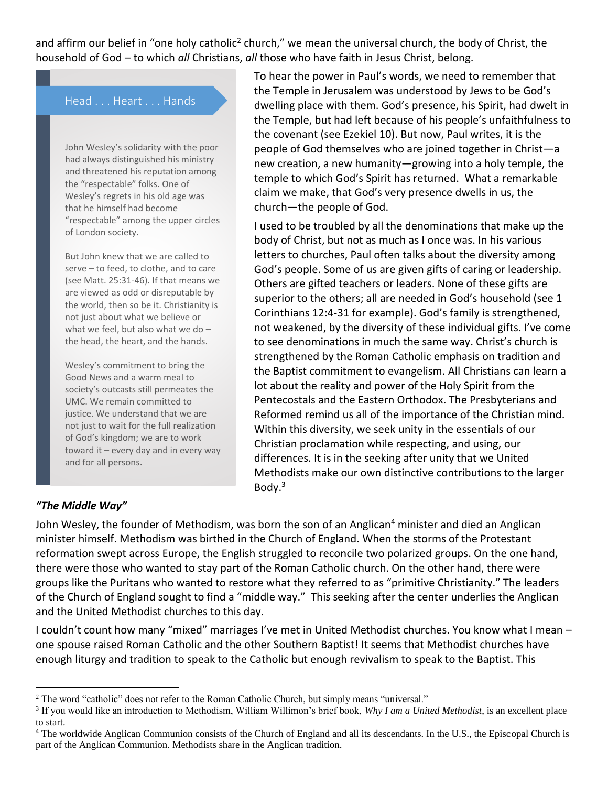and affirm our belief in "one holy catholic<sup>2</sup> church," we mean the universal church, the body of Christ, the household of God – to which *all* Christians, *all* those who have faith in Jesus Christ, belong.

### Head . . . Heart . . . Hands

John Wesley's solidarity with the poor had always distinguished his ministry and threatened his reputation among the "respectable" folks. One of Wesley's regrets in his old age was that he himself had become "respectable" among the upper circles of London society.

But John knew that we are called to serve – to feed, to clothe, and to care (see Matt. 25:31-46). If that means we are viewed as odd or disreputable by the world, then so be it. Christianity is not just about what we believe or what we feel, but also what we do – the head, the heart, and the hands.

Wesley's commitment to bring the Good News and a warm meal to society's outcasts still permeates the UMC. We remain committed to justice. We understand that we are not just to wait for the full realization of God's kingdom; we are to work toward it – every day and in every way and for all persons.

To hear the power in Paul's words, we need to remember that the Temple in Jerusalem was understood by Jews to be God's dwelling place with them. God's presence, his Spirit, had dwelt in the Temple, but had left because of his people's unfaithfulness to the covenant (see Ezekiel 10). But now, Paul writes, it is the people of God themselves who are joined together in Christ—a new creation, a new humanity—growing into a holy temple, the temple to which God's Spirit has returned. What a remarkable claim we make, that God's very presence dwells in us, the church—the people of God.

I used to be troubled by all the denominations that make up the body of Christ, but not as much as I once was. In his various letters to churches, Paul often talks about the diversity among God's people. Some of us are given gifts of caring or leadership. Others are gifted teachers or leaders. None of these gifts are superior to the others; all are needed in God's household (see 1 Corinthians 12:4-31 for example). God's family is strengthened, not weakened, by the diversity of these individual gifts. I've come to see denominations in much the same way. Christ's church is strengthened by the Roman Catholic emphasis on tradition and the Baptist commitment to evangelism. All Christians can learn a lot about the reality and power of the Holy Spirit from the Pentecostals and the Eastern Orthodox. The Presbyterians and Reformed remind us all of the importance of the Christian mind. Within this diversity, we seek unity in the essentials of our Christian proclamation while respecting, and using, our differences. It is in the seeking after unity that we United Methodists make our own distinctive contributions to the larger Body. $3$ 

#### *"The Middle Way"*

John Wesley, the founder of Methodism, was born the son of an Anglican<sup>4</sup> minister and died an Anglican minister himself. Methodism was birthed in the Church of England. When the storms of the Protestant reformation swept across Europe, the English struggled to reconcile two polarized groups. On the one hand, there were those who wanted to stay part of the Roman Catholic church. On the other hand, there were groups like the Puritans who wanted to restore what they referred to as "primitive Christianity." The leaders of the Church of England sought to find a "middle way." This seeking after the center underlies the Anglican and the United Methodist churches to this day.

I couldn't count how many "mixed" marriages I've met in United Methodist churches. You know what I mean – one spouse raised Roman Catholic and the other Southern Baptist! It seems that Methodist churches have enough liturgy and tradition to speak to the Catholic but enough revivalism to speak to the Baptist. This

<sup>2</sup> The word "catholic" does not refer to the Roman Catholic Church, but simply means "universal."

<sup>3</sup> If you would like an introduction to Methodism, William Willimon's brief book, *Why I am a United Methodist*, is an excellent place to start.

<sup>&</sup>lt;sup>4</sup> The worldwide Anglican Communion consists of the Church of England and all its descendants. In the U.S., the Episcopal Church is part of the Anglican Communion. Methodists share in the Anglican tradition.